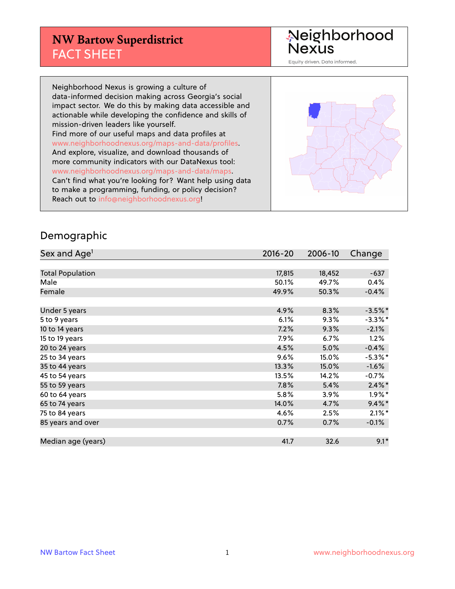#### **NW Bartow Superdistrict** FACT SHEET

Neighborhood<br>Nexus

Equity driven. Data informed.

Neighborhood Nexus is growing a culture of data-informed decision making across Georgia's social impact sector. We do this by making data accessible and actionable while developing the confidence and skills of mission-driven leaders like yourself. Find more of our useful maps and data profiles at www.neighborhoodnexus.org/maps-and-data/profiles. And explore, visualize, and download thousands of more community indicators with our DataNexus tool: www.neighborhoodnexus.org/maps-and-data/maps. Can't find what you're looking for? Want help using data to make a programming, funding, or policy decision? Reach out to [info@neighborhoodnexus.org!](mailto:info@neighborhoodnexus.org)



#### Demographic

| Sex and Age <sup>1</sup> | 2016-20 | 2006-10 | Change     |
|--------------------------|---------|---------|------------|
|                          |         |         |            |
| <b>Total Population</b>  | 17,815  | 18,452  | $-637$     |
| Male                     | 50.1%   | 49.7%   | 0.4%       |
| Female                   | 49.9%   | 50.3%   | $-0.4%$    |
|                          |         |         |            |
| Under 5 years            | 4.9%    | 8.3%    | $-3.5%$ *  |
| 5 to 9 years             | 6.1%    | 9.3%    | $-3.3\%$ * |
| 10 to 14 years           | 7.2%    | 9.3%    | $-2.1%$    |
| 15 to 19 years           | 7.9%    | 6.7%    | 1.2%       |
| 20 to 24 years           | 4.5%    | 5.0%    | $-0.4%$    |
| 25 to 34 years           | 9.6%    | 15.0%   | $-5.3\%$ * |
| 35 to 44 years           | 13.3%   | 15.0%   | $-1.6%$    |
| 45 to 54 years           | 13.5%   | 14.2%   | $-0.7%$    |
| 55 to 59 years           | 7.8%    | 5.4%    | $2.4\%$ *  |
| 60 to 64 years           | $5.8\%$ | 3.9%    | $1.9\%$ *  |
| 65 to 74 years           | 14.0%   | 4.7%    | $9.4\%$ *  |
| 75 to 84 years           | 4.6%    | 2.5%    | $2.1\%$ *  |
| 85 years and over        | 0.7%    | 0.7%    | $-0.1\%$   |
|                          |         |         |            |
| Median age (years)       | 41.7    | 32.6    | $9.1*$     |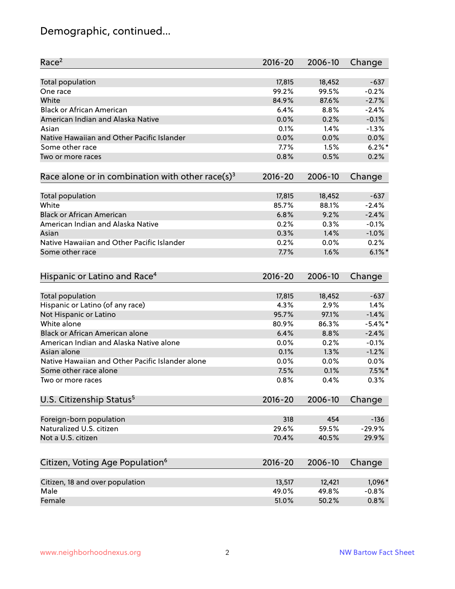# Demographic, continued...

| Race <sup>2</sup>                                            | $2016 - 20$ | 2006-10 | Change     |
|--------------------------------------------------------------|-------------|---------|------------|
| <b>Total population</b>                                      | 17,815      | 18,452  | $-637$     |
| One race                                                     | 99.2%       | 99.5%   | $-0.2%$    |
| White                                                        | 84.9%       | 87.6%   | $-2.7%$    |
| <b>Black or African American</b>                             | 6.4%        | 8.8%    | $-2.4%$    |
| American Indian and Alaska Native                            | 0.0%        | 0.2%    | $-0.1%$    |
| Asian                                                        | 0.1%        | 1.4%    | $-1.3%$    |
| Native Hawaiian and Other Pacific Islander                   | 0.0%        | 0.0%    | 0.0%       |
| Some other race                                              | 7.7%        | 1.5%    | $6.2%$ *   |
| Two or more races                                            | 0.8%        | 0.5%    | 0.2%       |
|                                                              |             |         |            |
| Race alone or in combination with other race(s) <sup>3</sup> | $2016 - 20$ | 2006-10 | Change     |
| <b>Total population</b>                                      | 17,815      | 18,452  | $-637$     |
| White                                                        | 85.7%       | 88.1%   | $-2.4%$    |
| <b>Black or African American</b>                             | 6.8%        | 9.2%    | $-2.4%$    |
| American Indian and Alaska Native                            | 0.2%        | 0.3%    | $-0.1%$    |
| Asian                                                        | 0.3%        | 1.4%    | $-1.0%$    |
| Native Hawaiian and Other Pacific Islander                   | 0.2%        | 0.0%    | 0.2%       |
| Some other race                                              | 7.7%        | 1.6%    | $6.1\%$ *  |
|                                                              |             |         |            |
| Hispanic or Latino and Race <sup>4</sup>                     | $2016 - 20$ | 2006-10 | Change     |
| <b>Total population</b>                                      | 17,815      | 18,452  | $-637$     |
| Hispanic or Latino (of any race)                             | 4.3%        | 2.9%    | 1.4%       |
| Not Hispanic or Latino                                       | 95.7%       | 97.1%   | $-1.4%$    |
| White alone                                                  | 80.9%       | 86.3%   | $-5.4\%$ * |
| Black or African American alone                              | 6.4%        | 8.8%    | $-2.4%$    |
| American Indian and Alaska Native alone                      | 0.0%        | 0.2%    | $-0.1%$    |
| Asian alone                                                  | 0.1%        | 1.3%    | $-1.2%$    |
| Native Hawaiian and Other Pacific Islander alone             | 0.0%        | 0.0%    | 0.0%       |
| Some other race alone                                        | 7.5%        | 0.1%    | $7.5%$ *   |
| Two or more races                                            | 0.8%        | 0.4%    | 0.3%       |
|                                                              |             |         |            |
| U.S. Citizenship Status <sup>5</sup>                         | $2016 - 20$ | 2006-10 | Change     |
| Foreign-born population                                      | 318         | 454     | $-136$     |
| Naturalized U.S. citizen                                     | 29.6%       | 59.5%   | $-29.9%$   |
| Not a U.S. citizen                                           | 70.4%       | 40.5%   | 29.9%      |
|                                                              |             |         |            |
| Citizen, Voting Age Population <sup>6</sup>                  | $2016 - 20$ | 2006-10 | Change     |
| Citizen, 18 and over population                              | 13,517      | 12,421  | 1,096*     |
| Male                                                         | 49.0%       | 49.8%   | $-0.8%$    |
| Female                                                       | 51.0%       | 50.2%   | 0.8%       |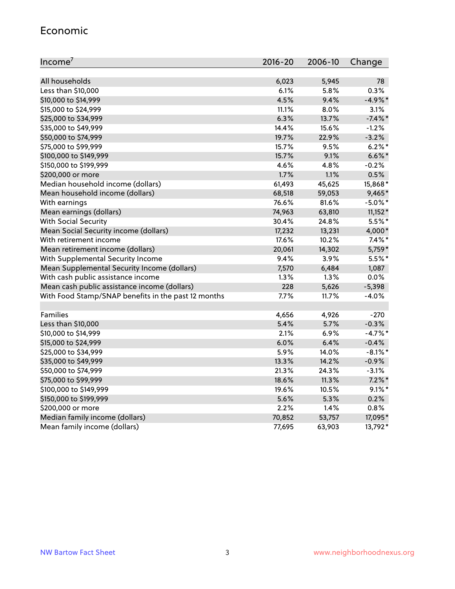#### Economic

| Income <sup>7</sup>                                 | $2016 - 20$ | 2006-10 | Change     |
|-----------------------------------------------------|-------------|---------|------------|
|                                                     |             |         |            |
| All households                                      | 6,023       | 5,945   | 78         |
| Less than \$10,000                                  | 6.1%        | 5.8%    | 0.3%       |
| \$10,000 to \$14,999                                | 4.5%        | 9.4%    | $-4.9%$ *  |
| \$15,000 to \$24,999                                | 11.1%       | 8.0%    | 3.1%       |
| \$25,000 to \$34,999                                | 6.3%        | 13.7%   | $-7.4\%$ * |
| \$35,000 to \$49,999                                | 14.4%       | 15.6%   | $-1.2%$    |
| \$50,000 to \$74,999                                | 19.7%       | 22.9%   | $-3.2%$    |
| \$75,000 to \$99,999                                | 15.7%       | 9.5%    | $6.2\%$ *  |
| \$100,000 to \$149,999                              | 15.7%       | 9.1%    | $6.6\%$ *  |
| \$150,000 to \$199,999                              | 4.6%        | 4.8%    | $-0.2%$    |
| \$200,000 or more                                   | 1.7%        | 1.1%    | 0.5%       |
| Median household income (dollars)                   | 61,493      | 45,625  | 15,868*    |
| Mean household income (dollars)                     | 68,518      | 59,053  | 9,465*     |
| With earnings                                       | 76.6%       | 81.6%   | $-5.0\%$ * |
| Mean earnings (dollars)                             | 74,963      | 63,810  | $11,152*$  |
| <b>With Social Security</b>                         | 30.4%       | 24.8%   | $5.5%$ *   |
| Mean Social Security income (dollars)               | 17,232      | 13,231  | 4,000*     |
| With retirement income                              | 17.6%       | 10.2%   | $7.4\%$ *  |
| Mean retirement income (dollars)                    | 20,061      | 14,302  | 5,759*     |
| With Supplemental Security Income                   | 9.4%        | 3.9%    | 5.5%*      |
| Mean Supplemental Security Income (dollars)         | 7,570       | 6,484   | 1,087      |
| With cash public assistance income                  | 1.3%        | $1.3\%$ | 0.0%       |
| Mean cash public assistance income (dollars)        | 228         | 5,626   | $-5,398$   |
| With Food Stamp/SNAP benefits in the past 12 months | 7.7%        | 11.7%   | $-4.0%$    |
|                                                     |             |         |            |
| Families                                            | 4,656       | 4,926   | $-270$     |
| Less than \$10,000                                  | 5.4%        | 5.7%    | $-0.3%$    |
| \$10,000 to \$14,999                                | 2.1%        | 6.9%    | $-4.7%$ *  |
| \$15,000 to \$24,999                                | 6.0%        | 6.4%    | $-0.4%$    |
| \$25,000 to \$34,999                                | 5.9%        | 14.0%   | $-8.1\%$ * |
| \$35,000 to \$49,999                                | 13.3%       | 14.2%   | $-0.9%$    |
| \$50,000 to \$74,999                                | 21.3%       | 24.3%   | $-3.1%$    |
| \$75,000 to \$99,999                                | 18.6%       | 11.3%   | $7.2\%$ *  |
| \$100,000 to \$149,999                              | 19.6%       | 10.5%   | $9.1\%$ *  |
| \$150,000 to \$199,999                              | 5.6%        | 5.3%    | 0.2%       |
| \$200,000 or more                                   | 2.2%        | 1.4%    | 0.8%       |
| Median family income (dollars)                      | 70,852      | 53,757  | 17,095*    |
| Mean family income (dollars)                        | 77,695      | 63,903  | 13,792*    |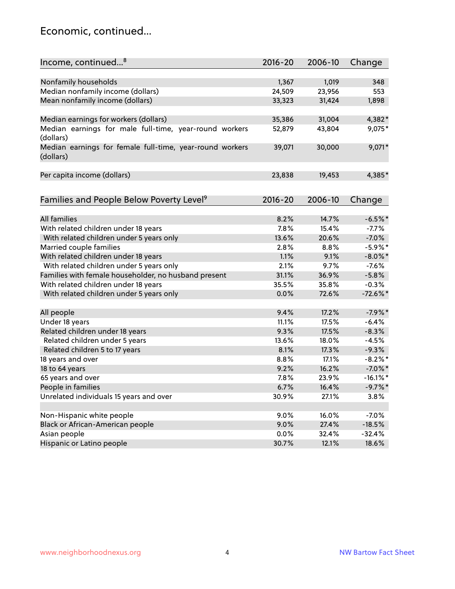#### Economic, continued...

| Income, continued <sup>8</sup>                                        | $2016 - 20$ | 2006-10 | Change      |
|-----------------------------------------------------------------------|-------------|---------|-------------|
|                                                                       |             |         |             |
| Nonfamily households                                                  | 1,367       | 1,019   | 348         |
| Median nonfamily income (dollars)                                     | 24,509      | 23,956  | 553         |
| Mean nonfamily income (dollars)                                       | 33,323      | 31,424  | 1,898       |
| Median earnings for workers (dollars)                                 | 35,386      | 31,004  | 4,382*      |
| Median earnings for male full-time, year-round workers                | 52,879      | 43,804  | 9,075*      |
| (dollars)                                                             |             |         |             |
| Median earnings for female full-time, year-round workers<br>(dollars) | 39,071      | 30,000  | 9,071*      |
| Per capita income (dollars)                                           | 23,838      | 19,453  | 4,385*      |
|                                                                       |             |         |             |
| Families and People Below Poverty Level <sup>9</sup>                  | 2016-20     | 2006-10 | Change      |
|                                                                       |             |         |             |
| <b>All families</b>                                                   | 8.2%        | 14.7%   | $-6.5%$ *   |
| With related children under 18 years                                  | 7.8%        | 15.4%   | $-7.7%$     |
| With related children under 5 years only                              | 13.6%       | 20.6%   | $-7.0%$     |
| Married couple families                                               | 2.8%        | 8.8%    | $-5.9%$ *   |
| With related children under 18 years                                  | 1.1%        | 9.1%    | $-8.0\%$ *  |
| With related children under 5 years only                              | 2.1%        | 9.7%    | $-7.6%$     |
| Families with female householder, no husband present                  | 31.1%       | 36.9%   | $-5.8%$     |
| With related children under 18 years                                  | 35.5%       | 35.8%   | $-0.3%$     |
| With related children under 5 years only                              | 0.0%        | 72.6%   | $-72.6\%$ * |
| All people                                                            | 9.4%        | 17.2%   | $-7.9%$ *   |
| Under 18 years                                                        | 11.1%       | 17.5%   | $-6.4%$     |
| Related children under 18 years                                       | 9.3%        | 17.5%   | $-8.3%$     |
| Related children under 5 years                                        | 13.6%       | 18.0%   | $-4.5%$     |
| Related children 5 to 17 years                                        | 8.1%        | 17.3%   | $-9.3%$     |
| 18 years and over                                                     | 8.8%        | 17.1%   | $-8.2\%$ *  |
| 18 to 64 years                                                        | 9.2%        | 16.2%   | $-7.0\%$ *  |
| 65 years and over                                                     | 7.8%        | 23.9%   | $-16.1\%$ * |
| People in families                                                    | 6.7%        | 16.4%   | $-9.7%$ *   |
| Unrelated individuals 15 years and over                               | 30.9%       | 27.1%   | 3.8%        |
|                                                                       |             |         |             |
| Non-Hispanic white people                                             | 9.0%        | 16.0%   | $-7.0%$     |
| Black or African-American people                                      | 9.0%        | 27.4%   | $-18.5%$    |
| Asian people                                                          | $0.0\%$     | 32.4%   | $-32.4%$    |
| Hispanic or Latino people                                             | 30.7%       | 12.1%   | 18.6%       |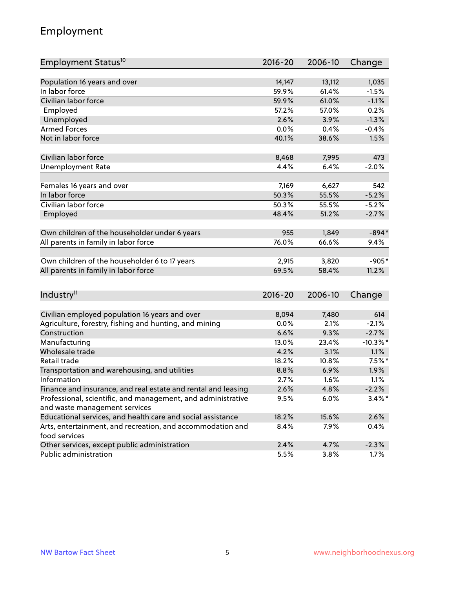## Employment

| Employment Status <sup>10</sup>                               | 2016-20     | 2006-10 | Change      |
|---------------------------------------------------------------|-------------|---------|-------------|
|                                                               |             |         |             |
| Population 16 years and over                                  | 14,147      | 13,112  | 1,035       |
| In labor force                                                | 59.9%       | 61.4%   | $-1.5%$     |
| Civilian labor force                                          | 59.9%       | 61.0%   | $-1.1%$     |
| Employed                                                      | 57.2%       | 57.0%   | 0.2%        |
| Unemployed                                                    | 2.6%        | 3.9%    | $-1.3%$     |
| <b>Armed Forces</b>                                           | 0.0%        | 0.4%    | $-0.4%$     |
| Not in labor force                                            | 40.1%       | 38.6%   | 1.5%        |
| Civilian labor force                                          |             |         | 473         |
|                                                               | 8,468       | 7,995   |             |
| <b>Unemployment Rate</b>                                      | 4.4%        | 6.4%    | $-2.0%$     |
| Females 16 years and over                                     | 7,169       | 6,627   | 542         |
| In labor force                                                | 50.3%       | 55.5%   | $-5.2%$     |
| Civilian labor force                                          | 50.3%       | 55.5%   | $-5.2%$     |
| Employed                                                      | 48.4%       | 51.2%   | $-2.7%$     |
|                                                               |             |         |             |
| Own children of the householder under 6 years                 | 955         | 1,849   | $-894*$     |
| All parents in family in labor force                          | 76.0%       | 66.6%   | 9.4%        |
|                                                               |             |         |             |
| Own children of the householder 6 to 17 years                 | 2,915       | 3,820   | $-905*$     |
| All parents in family in labor force                          | 69.5%       | 58.4%   | 11.2%       |
|                                                               |             |         |             |
| Industry <sup>11</sup>                                        | $2016 - 20$ | 2006-10 | Change      |
| Civilian employed population 16 years and over                | 8,094       | 7,480   | 614         |
| Agriculture, forestry, fishing and hunting, and mining        | 0.0%        | 2.1%    | $-2.1%$     |
| Construction                                                  | 6.6%        | 9.3%    | $-2.7%$     |
| Manufacturing                                                 | 13.0%       | 23.4%   | $-10.3\%$ * |
| Wholesale trade                                               | 4.2%        | 3.1%    | 1.1%        |
| Retail trade                                                  | 18.2%       | 10.8%   | $7.5%$ *    |
| Transportation and warehousing, and utilities                 | 8.8%        | 6.9%    | 1.9%        |
| Information                                                   | 2.7%        | 1.6%    | 1.1%        |
| Finance and insurance, and real estate and rental and leasing | 2.6%        | 4.8%    | $-2.2%$     |
| Professional, scientific, and management, and administrative  | 9.5%        | 6.0%    | $3.4\%$ *   |
| and waste management services                                 |             |         |             |
| Educational services, and health care and social assistance   | 18.2%       | 15.6%   | 2.6%        |
| Arts, entertainment, and recreation, and accommodation and    | 8.4%        | 7.9%    | 0.4%        |
| food services                                                 |             |         |             |
| Other services, except public administration                  | 2.4%        | 4.7%    | $-2.3%$     |
| Public administration                                         | 5.5%        | 3.8%    | 1.7%        |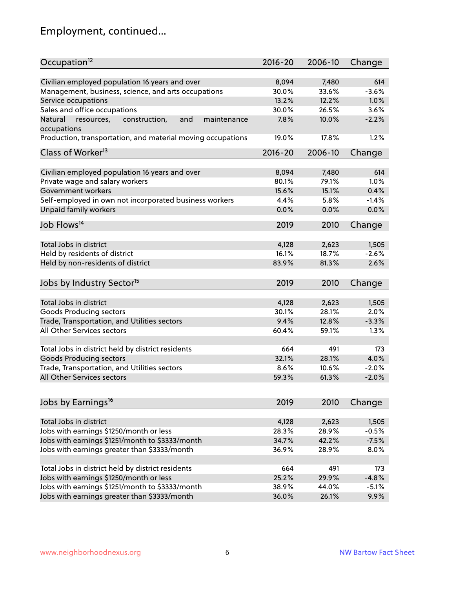# Employment, continued...

| Occupation <sup>12</sup>                                    | $2016 - 20$ | 2006-10 | Change  |
|-------------------------------------------------------------|-------------|---------|---------|
| Civilian employed population 16 years and over              | 8,094       | 7,480   | 614     |
| Management, business, science, and arts occupations         | 30.0%       | 33.6%   | $-3.6%$ |
| Service occupations                                         | 13.2%       | 12.2%   | 1.0%    |
| Sales and office occupations                                | 30.0%       | 26.5%   | 3.6%    |
| Natural<br>and<br>maintenance                               | 7.8%        | 10.0%   | $-2.2%$ |
| resources,<br>construction,<br>occupations                  |             |         |         |
| Production, transportation, and material moving occupations | 19.0%       | 17.8%   | 1.2%    |
| Class of Worker <sup>13</sup>                               | $2016 - 20$ | 2006-10 | Change  |
| Civilian employed population 16 years and over              | 8,094       | 7,480   | 614     |
| Private wage and salary workers                             | 80.1%       | 79.1%   | 1.0%    |
| Government workers                                          | 15.6%       | 15.1%   | 0.4%    |
| Self-employed in own not incorporated business workers      | 4.4%        | 5.8%    | $-1.4%$ |
| Unpaid family workers                                       | 0.0%        | 0.0%    | 0.0%    |
| Job Flows <sup>14</sup>                                     | 2019        | 2010    | Change  |
|                                                             |             |         |         |
| Total Jobs in district                                      | 4,128       | 2,623   | 1,505   |
| Held by residents of district                               | 16.1%       | 18.7%   | $-2.6%$ |
| Held by non-residents of district                           | 83.9%       | 81.3%   | 2.6%    |
| Jobs by Industry Sector <sup>15</sup>                       | 2019        | 2010    | Change  |
| Total Jobs in district                                      | 4,128       | 2,623   | 1,505   |
| Goods Producing sectors                                     | 30.1%       | 28.1%   | 2.0%    |
| Trade, Transportation, and Utilities sectors                | 9.4%        | 12.8%   | $-3.3%$ |
| <b>All Other Services sectors</b>                           | 60.4%       | 59.1%   | 1.3%    |
|                                                             |             |         |         |
| Total Jobs in district held by district residents           | 664         | 491     | 173     |
| <b>Goods Producing sectors</b>                              | 32.1%       | 28.1%   | 4.0%    |
| Trade, Transportation, and Utilities sectors                | 8.6%        | 10.6%   | $-2.0%$ |
| All Other Services sectors                                  | 59.3%       | 61.3%   | $-2.0%$ |
|                                                             |             |         |         |
| Jobs by Earnings <sup>16</sup>                              | 2019        | 2010    | Change  |
| Total Jobs in district                                      | 4,128       | 2,623   | 1,505   |
| Jobs with earnings \$1250/month or less                     | 28.3%       | 28.9%   | $-0.5%$ |
| Jobs with earnings \$1251/month to \$3333/month             | 34.7%       | 42.2%   | $-7.5%$ |
| Jobs with earnings greater than \$3333/month                | 36.9%       | 28.9%   | 8.0%    |
|                                                             |             |         |         |
| Total Jobs in district held by district residents           | 664         | 491     | 173     |
| Jobs with earnings \$1250/month or less                     | 25.2%       | 29.9%   | $-4.8%$ |
| Jobs with earnings \$1251/month to \$3333/month             | 38.9%       | 44.0%   | $-5.1%$ |
| Jobs with earnings greater than \$3333/month                | 36.0%       | 26.1%   | 9.9%    |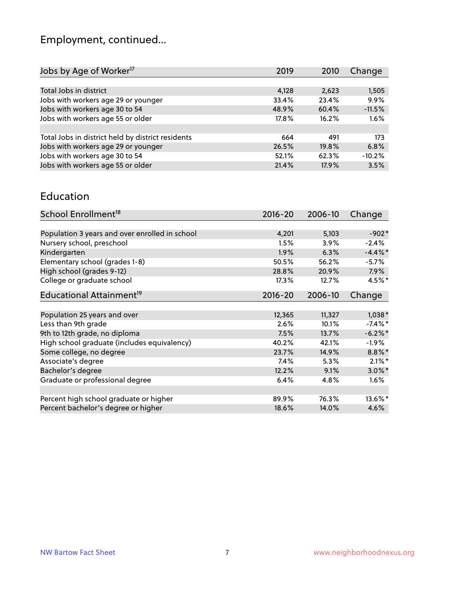# Employment, continued...

| Jobs by Age of Worker <sup>17</sup>               | 2019     | 2010  | Change   |
|---------------------------------------------------|----------|-------|----------|
|                                                   |          |       |          |
| Total Jobs in district                            | 4,128    | 2,623 | 1,505    |
| Jobs with workers age 29 or younger               | 33.4%    | 23.4% | 9.9%     |
| Jobs with workers age 30 to 54                    | 48.9%    | 60.4% | $-11.5%$ |
| Jobs with workers age 55 or older                 | $17.8\%$ | 16.2% | 1.6%     |
|                                                   |          |       |          |
| Total Jobs in district held by district residents | 664      | 491   | 173      |
| Jobs with workers age 29 or younger               | 26.5%    | 19.8% | 6.8%     |
| Jobs with workers age 30 to 54                    | 52.1%    | 62.3% | $-10.2%$ |
| Jobs with workers age 55 or older                 | 21.4%    | 17.9% | 3.5%     |

#### Education

| School Enrollment <sup>18</sup>                | $2016 - 20$ | 2006-10 | Change     |
|------------------------------------------------|-------------|---------|------------|
|                                                |             |         |            |
| Population 3 years and over enrolled in school | 4,201       | 5,103   | $-902*$    |
| Nursery school, preschool                      | 1.5%        | $3.9\%$ | $-2.4%$    |
| Kindergarten                                   | 1.9%        | 6.3%    | $-4.4\%$ * |
| Elementary school (grades 1-8)                 | 50.5%       | 56.2%   | $-5.7%$    |
| High school (grades 9-12)                      | 28.8%       | 20.9%   | $7.9\%$    |
| College or graduate school                     | 17.3%       | 12.7%   | $4.5%$ *   |
| Educational Attainment <sup>19</sup>           | $2016 - 20$ | 2006-10 | Change     |
|                                                |             |         |            |
| Population 25 years and over                   | 12,365      | 11,327  | $1,038*$   |
| Less than 9th grade                            | 2.6%        | 10.1%   | $-7.4\%$ * |
| 9th to 12th grade, no diploma                  | 7.5%        | 13.7%   | $-6.2%$ *  |
| High school graduate (includes equivalency)    | 40.2%       | 42.1%   | $-1.9\%$   |
| Some college, no degree                        | 23.7%       | 14.9%   | $8.8\%$ *  |
| Associate's degree                             | $7.4\%$     | 5.3%    | $2.1\%$ *  |
| Bachelor's degree                              | 12.2%       | 9.1%    | $3.0\%$ *  |
| Graduate or professional degree                | 6.4%        | 4.8%    | $1.6\%$    |
|                                                |             |         |            |
| Percent high school graduate or higher         | 89.9%       | 76.3%   | 13.6%*     |
| Percent bachelor's degree or higher            | 18.6%       | 14.0%   | 4.6%       |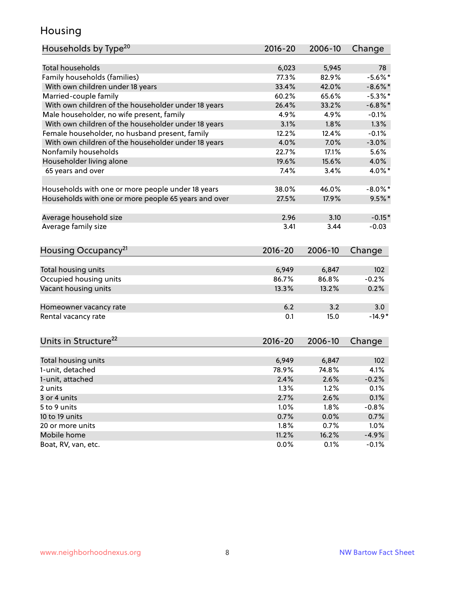#### Housing

| Households by Type <sup>20</sup>                     | 2016-20     | 2006-10 | Change     |
|------------------------------------------------------|-------------|---------|------------|
|                                                      |             |         |            |
| <b>Total households</b>                              | 6,023       | 5,945   | 78         |
| Family households (families)                         | 77.3%       | 82.9%   | $-5.6\%$ * |
| With own children under 18 years                     | 33.4%       | 42.0%   | $-8.6\%$ * |
| Married-couple family                                | 60.2%       | 65.6%   | $-5.3\%$ * |
| With own children of the householder under 18 years  | 26.4%       | 33.2%   | $-6.8\%$ * |
| Male householder, no wife present, family            | 4.9%        | 4.9%    | $-0.1%$    |
| With own children of the householder under 18 years  | 3.1%        | 1.8%    | 1.3%       |
| Female householder, no husband present, family       | 12.2%       | 12.4%   | $-0.1%$    |
| With own children of the householder under 18 years  | 4.0%        | 7.0%    | $-3.0%$    |
| Nonfamily households                                 | 22.7%       | 17.1%   | 5.6%       |
| Householder living alone                             | 19.6%       | 15.6%   | 4.0%       |
| 65 years and over                                    | 7.4%        | 3.4%    | 4.0%*      |
| Households with one or more people under 18 years    | 38.0%       | 46.0%   | $-8.0\%$ * |
| Households with one or more people 65 years and over | 27.5%       | 17.9%   | $9.5%$ *   |
| Average household size                               | 2.96        | 3.10    | $-0.15*$   |
| Average family size                                  | 3.41        | 3.44    | $-0.03$    |
|                                                      |             |         |            |
| Housing Occupancy <sup>21</sup>                      | $2016 - 20$ | 2006-10 | Change     |
| Total housing units                                  | 6,949       | 6,847   | 102        |
| Occupied housing units                               | 86.7%       | 86.8%   | $-0.2%$    |
| Vacant housing units                                 | 13.3%       | 13.2%   | 0.2%       |
|                                                      |             |         |            |
| Homeowner vacancy rate                               | 6.2         | 3.2     | 3.0        |
| Rental vacancy rate                                  | 0.1         | 15.0    | $-14.9*$   |
| Units in Structure <sup>22</sup>                     | $2016 - 20$ | 2006-10 | Change     |
| Total housing units                                  | 6,949       | 6,847   | 102        |
| 1-unit, detached                                     | 78.9%       | 74.8%   | 4.1%       |
| 1-unit, attached                                     | 2.4%        | 2.6%    | $-0.2%$    |
| 2 units                                              | 1.3%        | 1.2%    | 0.1%       |
| 3 or 4 units                                         | 2.7%        | 2.6%    | 0.1%       |
| 5 to 9 units                                         | 1.0%        | 1.8%    | $-0.8%$    |
|                                                      |             |         |            |
| 10 to 19 units                                       | 0.7%        | 0.0%    | 0.7%       |
| 20 or more units                                     | 1.8%        | 0.7%    | 1.0%       |
| Mobile home                                          | 11.2%       | 16.2%   | $-4.9%$    |
| Boat, RV, van, etc.                                  | 0.0%        | 0.1%    | $-0.1%$    |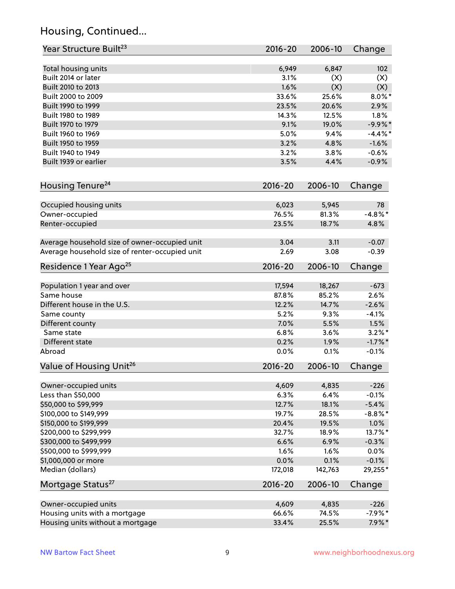## Housing, Continued...

| Year Structure Built <sup>23</sup>             | $2016 - 20$ | 2006-10 | Change     |
|------------------------------------------------|-------------|---------|------------|
| Total housing units                            | 6,949       | 6,847   | 102        |
| Built 2014 or later                            | 3.1%        | (X)     | (X)        |
| Built 2010 to 2013                             | 1.6%        | (X)     | (X)        |
| Built 2000 to 2009                             | 33.6%       | 25.6%   | $8.0\%$ *  |
| Built 1990 to 1999                             | 23.5%       | 20.6%   | 2.9%       |
| Built 1980 to 1989                             | 14.3%       | 12.5%   | 1.8%       |
| Built 1970 to 1979                             | 9.1%        | 19.0%   | $-9.9%$ *  |
| Built 1960 to 1969                             | 5.0%        | 9.4%    | $-4.4%$    |
| Built 1950 to 1959                             | 3.2%        | 4.8%    | $-1.6%$    |
| Built 1940 to 1949                             | 3.2%        | 3.8%    | $-0.6%$    |
| Built 1939 or earlier                          | 3.5%        | 4.4%    | $-0.9%$    |
|                                                |             |         |            |
| Housing Tenure <sup>24</sup>                   | 2016-20     | 2006-10 | Change     |
| Occupied housing units                         | 6,023       | 5,945   | 78         |
| Owner-occupied                                 | 76.5%       | 81.3%   | $-4.8\%$ * |
| Renter-occupied                                | 23.5%       | 18.7%   | 4.8%       |
|                                                |             |         |            |
| Average household size of owner-occupied unit  | 3.04        | 3.11    | $-0.07$    |
| Average household size of renter-occupied unit | 2.69        | 3.08    | $-0.39$    |
| Residence 1 Year Ago <sup>25</sup>             | $2016 - 20$ | 2006-10 | Change     |
|                                                |             |         |            |
| Population 1 year and over                     | 17,594      | 18,267  | $-673$     |
| Same house                                     | 87.8%       | 85.2%   | 2.6%       |
| Different house in the U.S.                    | 12.2%       | 14.7%   | $-2.6%$    |
| Same county                                    | 5.2%        | 9.3%    | $-4.1%$    |
| Different county                               | 7.0%        | 5.5%    | 1.5%       |
| Same state                                     | 6.8%        | 3.6%    | $3.2\%$ *  |
| Different state                                | 0.2%        | 1.9%    | $-1.7\%$ * |
| Abroad                                         | 0.0%        | 0.1%    | $-0.1%$    |
| Value of Housing Unit <sup>26</sup>            | 2016-20     | 2006-10 | Change     |
|                                                |             |         |            |
| Owner-occupied units                           | 4,609       | 4,835   | $-226$     |
| Less than \$50,000                             | 6.3%        | 6.4%    | $-0.1%$    |
| \$50,000 to \$99,999                           | 12.7%       | 18.1%   | $-5.4%$    |
| \$100,000 to \$149,999                         | 19.7%       | 28.5%   | $-8.8\%$ * |
| \$150,000 to \$199,999                         | 20.4%       | 19.5%   | 1.0%       |
| \$200,000 to \$299,999                         | 32.7%       | 18.9%   | 13.7%*     |
| \$300,000 to \$499,999                         | 6.6%        | 6.9%    | $-0.3%$    |
| \$500,000 to \$999,999                         | 1.6%        | 1.6%    | 0.0%       |
| \$1,000,000 or more                            | 0.0%        | 0.1%    | $-0.1%$    |
| Median (dollars)                               | 172,018     | 142,763 | 29,255*    |
| Mortgage Status <sup>27</sup>                  | $2016 - 20$ | 2006-10 | Change     |
| Owner-occupied units                           | 4,609       | 4,835   | $-226$     |
| Housing units with a mortgage                  | 66.6%       | 74.5%   | $-7.9%$ *  |
| Housing units without a mortgage               | 33.4%       | 25.5%   | $7.9\%*$   |
|                                                |             |         |            |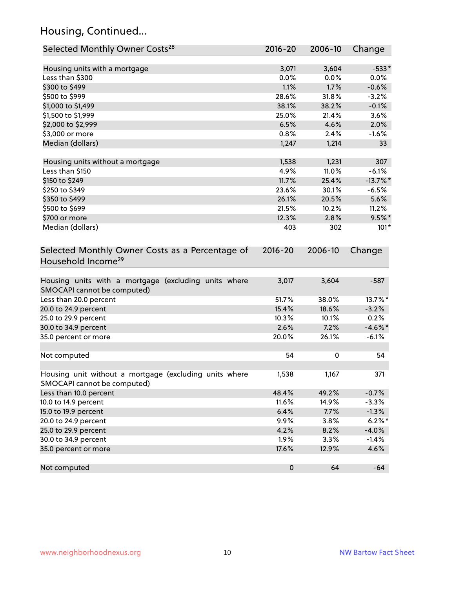## Housing, Continued...

| Selected Monthly Owner Costs <sup>28</sup>                                            | 2016-20   | 2006-10 | Change      |
|---------------------------------------------------------------------------------------|-----------|---------|-------------|
| Housing units with a mortgage                                                         | 3,071     | 3,604   | $-533*$     |
| Less than \$300                                                                       | 0.0%      | 0.0%    | 0.0%        |
| \$300 to \$499                                                                        | 1.1%      | 1.7%    | $-0.6%$     |
| \$500 to \$999                                                                        | 28.6%     | 31.8%   | $-3.2%$     |
| \$1,000 to \$1,499                                                                    | 38.1%     | 38.2%   | $-0.1%$     |
| \$1,500 to \$1,999                                                                    | 25.0%     | 21.4%   | 3.6%        |
| \$2,000 to \$2,999                                                                    | 6.5%      | 4.6%    | 2.0%        |
| \$3,000 or more                                                                       | 0.8%      | 2.4%    | $-1.6%$     |
| Median (dollars)                                                                      | 1,247     | 1,214   | 33          |
| Housing units without a mortgage                                                      | 1,538     | 1,231   | 307         |
| Less than \$150                                                                       | 4.9%      | 11.0%   | $-6.1%$     |
| \$150 to \$249                                                                        | 11.7%     | 25.4%   | $-13.7\%$ * |
| \$250 to \$349                                                                        | 23.6%     | 30.1%   | $-6.5%$     |
| \$350 to \$499                                                                        | 26.1%     | 20.5%   | 5.6%        |
| \$500 to \$699                                                                        | 21.5%     | 10.2%   | 11.2%       |
| \$700 or more                                                                         | 12.3%     | 2.8%    | $9.5%$ *    |
| Median (dollars)                                                                      | 403       | 302     | $101*$      |
| Household Income <sup>29</sup>                                                        |           |         |             |
| Housing units with a mortgage (excluding units where<br>SMOCAPI cannot be computed)   | 3,017     | 3,604   | $-587$      |
| Less than 20.0 percent                                                                | 51.7%     | 38.0%   | 13.7%*      |
| 20.0 to 24.9 percent                                                                  | 15.4%     | 18.6%   | $-3.2%$     |
| 25.0 to 29.9 percent                                                                  | 10.3%     | 10.1%   | 0.2%        |
| 30.0 to 34.9 percent                                                                  | 2.6%      | 7.2%    | $-4.6\%$ *  |
| 35.0 percent or more                                                                  | 20.0%     | 26.1%   | $-6.1%$     |
| Not computed                                                                          | 54        | 0       | 54          |
| Housing unit without a mortgage (excluding units where<br>SMOCAPI cannot be computed) | 1,538     | 1,167   | 371         |
| Less than 10.0 percent                                                                | 48.4%     | 49.2%   | $-0.7%$     |
| 10.0 to 14.9 percent                                                                  | 11.6%     | 14.9%   | $-3.3%$     |
| 15.0 to 19.9 percent                                                                  | 6.4%      | 7.7%    | $-1.3%$     |
| 20.0 to 24.9 percent                                                                  | 9.9%      | 3.8%    | $6.2\%$ *   |
| 25.0 to 29.9 percent                                                                  | 4.2%      | 8.2%    | $-4.0%$     |
| 30.0 to 34.9 percent                                                                  | 1.9%      | 3.3%    | $-1.4%$     |
| 35.0 percent or more                                                                  | 17.6%     | 12.9%   | 4.6%        |
| Not computed                                                                          | $\pmb{0}$ | 64      | $-64$       |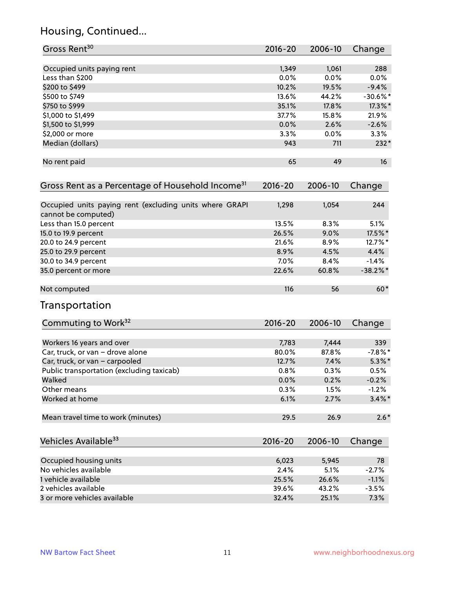## Housing, Continued...

| Gross Rent <sup>30</sup>                                                       | 2016-20     | 2006-10 | Change     |
|--------------------------------------------------------------------------------|-------------|---------|------------|
| Occupied units paying rent                                                     | 1,349       | 1,061   | 288        |
| Less than \$200                                                                | 0.0%        | 0.0%    | 0.0%       |
| \$200 to \$499                                                                 | 10.2%       | 19.5%   | $-9.4%$    |
| \$500 to \$749                                                                 | 13.6%       | 44.2%   | $-30.6%$ * |
| \$750 to \$999                                                                 | 35.1%       | 17.8%   | 17.3%*     |
| \$1,000 to \$1,499                                                             | 37.7%       | 15.8%   | 21.9%      |
| \$1,500 to \$1,999                                                             | 0.0%        | 2.6%    | $-2.6%$    |
| \$2,000 or more                                                                | 3.3%        | 0.0%    | 3.3%       |
| Median (dollars)                                                               | 943         | 711     | $232*$     |
| No rent paid                                                                   | 65          | 49      | 16         |
| Gross Rent as a Percentage of Household Income <sup>31</sup>                   | $2016 - 20$ | 2006-10 | Change     |
| Occupied units paying rent (excluding units where GRAPI<br>cannot be computed) | 1,298       | 1,054   | 244        |
| Less than 15.0 percent                                                         | 13.5%       | 8.3%    | 5.1%       |
| 15.0 to 19.9 percent                                                           | 26.5%       | 9.0%    | 17.5%*     |
| 20.0 to 24.9 percent                                                           | 21.6%       | 8.9%    | 12.7%*     |
| 25.0 to 29.9 percent                                                           | 8.9%        | 4.5%    | 4.4%       |
| 30.0 to 34.9 percent                                                           | 7.0%        | 8.4%    | $-1.4%$    |
| 35.0 percent or more                                                           | 22.6%       | 60.8%   | $-38.2%$ * |
| Not computed                                                                   | 116         | 56      | $60*$      |
| Transportation                                                                 |             |         |            |
| Commuting to Work <sup>32</sup>                                                | 2016-20     | 2006-10 | Change     |
| Workers 16 years and over                                                      | 7,783       | 7,444   | 339        |
| Car, truck, or van - drove alone                                               | 80.0%       | 87.8%   | $-7.8\%$ * |
| Car, truck, or van - carpooled                                                 | 12.7%       | 7.4%    | $5.3\%$ *  |
| Public transportation (excluding taxicab)                                      | 0.8%        | 0.3%    | 0.5%       |
| Walked                                                                         | 0.0%        | 0.2%    | $-0.2%$    |
| Other means                                                                    | 0.3%        | 1.5%    | $-1.2%$    |
| Worked at home                                                                 | 6.1%        | 2.7%    | $3.4\%$ *  |
| Mean travel time to work (minutes)                                             | 29.5        | 26.9    | $2.6*$     |
| Vehicles Available <sup>33</sup>                                               | $2016 - 20$ | 2006-10 | Change     |
| Occupied housing units                                                         | 6,023       | 5,945   | 78         |
| No vehicles available                                                          | 2.4%        | 5.1%    | $-2.7%$    |
| 1 vehicle available                                                            | 25.5%       | 26.6%   | $-1.1%$    |
| 2 vehicles available                                                           | 39.6%       | 43.2%   | $-3.5%$    |
| 3 or more vehicles available                                                   | 32.4%       | 25.1%   | 7.3%       |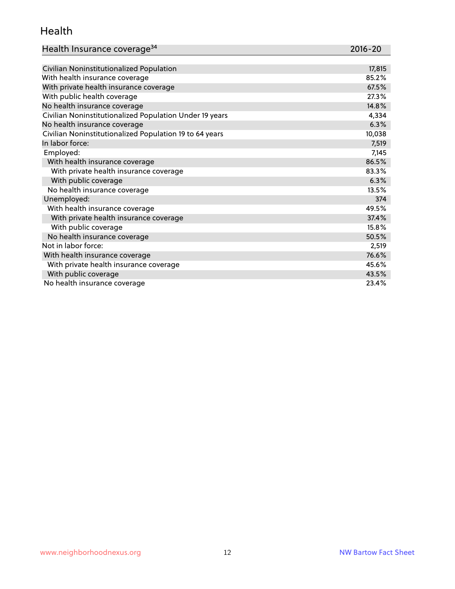#### Health

| Health Insurance coverage <sup>34</sup>                 | 2016-20 |
|---------------------------------------------------------|---------|
|                                                         |         |
| Civilian Noninstitutionalized Population                | 17,815  |
| With health insurance coverage                          | 85.2%   |
| With private health insurance coverage                  | 67.5%   |
| With public health coverage                             | 27.3%   |
| No health insurance coverage                            | 14.8%   |
| Civilian Noninstitutionalized Population Under 19 years | 4,334   |
| No health insurance coverage                            | 6.3%    |
| Civilian Noninstitutionalized Population 19 to 64 years | 10,038  |
| In labor force:                                         | 7,519   |
| Employed:                                               | 7,145   |
| With health insurance coverage                          | 86.5%   |
| With private health insurance coverage                  | 83.3%   |
| With public coverage                                    | 6.3%    |
| No health insurance coverage                            | 13.5%   |
| Unemployed:                                             | 374     |
| With health insurance coverage                          | 49.5%   |
| With private health insurance coverage                  | 37.4%   |
| With public coverage                                    | 15.8%   |
| No health insurance coverage                            | 50.5%   |
| Not in labor force:                                     | 2,519   |
| With health insurance coverage                          | 76.6%   |
| With private health insurance coverage                  | 45.6%   |
| With public coverage                                    | 43.5%   |
| No health insurance coverage                            | 23.4%   |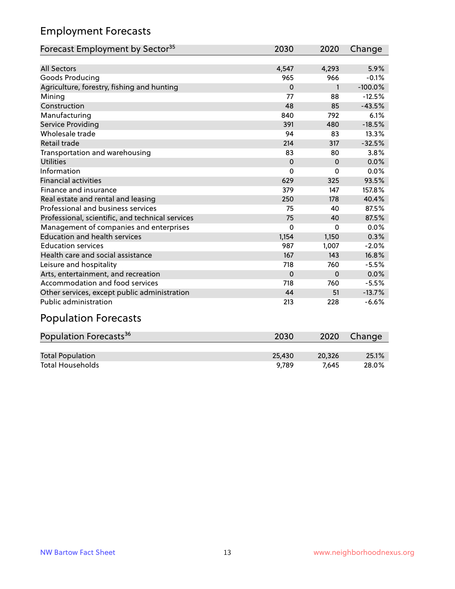## Employment Forecasts

| Forecast Employment by Sector <sup>35</sup>      | 2030     | 2020         | Change    |
|--------------------------------------------------|----------|--------------|-----------|
|                                                  |          |              |           |
| <b>All Sectors</b>                               | 4,547    | 4,293        | 5.9%      |
| Goods Producing                                  | 965      | 966          | $-0.1%$   |
| Agriculture, forestry, fishing and hunting       | $\Omega$ | $\mathbf{1}$ | $-100.0%$ |
| Mining                                           | 77       | 88           | $-12.5%$  |
| Construction                                     | 48       | 85           | $-43.5%$  |
| Manufacturing                                    | 840      | 792          | 6.1%      |
| <b>Service Providing</b>                         | 391      | 480          | $-18.5%$  |
| Wholesale trade                                  | 94       | 83           | 13.3%     |
| Retail trade                                     | 214      | 317          | $-32.5%$  |
| Transportation and warehousing                   | 83       | 80           | 3.8%      |
| Utilities                                        | $\Omega$ | $\Omega$     | 0.0%      |
| Information                                      | $\Omega$ | 0            | 0.0%      |
| <b>Financial activities</b>                      | 629      | 325          | 93.5%     |
| Finance and insurance                            | 379      | 147          | 157.8%    |
| Real estate and rental and leasing               | 250      | 178          | 40.4%     |
| Professional and business services               | 75       | 40           | 87.5%     |
| Professional, scientific, and technical services | 75       | 40           | 87.5%     |
| Management of companies and enterprises          | $\Omega$ | $\Omega$     | $0.0\%$   |
| <b>Education and health services</b>             | 1,154    | 1,150        | 0.3%      |
| <b>Education services</b>                        | 987      | 1,007        | $-2.0%$   |
| Health care and social assistance                | 167      | 143          | 16.8%     |
| Leisure and hospitality                          | 718      | 760          | $-5.5%$   |
| Arts, entertainment, and recreation              | 0        | $\Omega$     | 0.0%      |
| Accommodation and food services                  | 718      | 760          | $-5.5%$   |
| Other services, except public administration     | 44       | 51           | $-13.7%$  |
| <b>Public administration</b>                     | 213      | 228          | $-6.6%$   |

# Population Forecasts

| Population Forecasts <sup>36</sup> | 2030   | 2020   | Change |
|------------------------------------|--------|--------|--------|
|                                    |        |        |        |
| <b>Total Population</b>            | 25.430 | 20.326 | 25.1%  |
| <b>Total Households</b>            | 9.789  | 7.645  | 28.0%  |